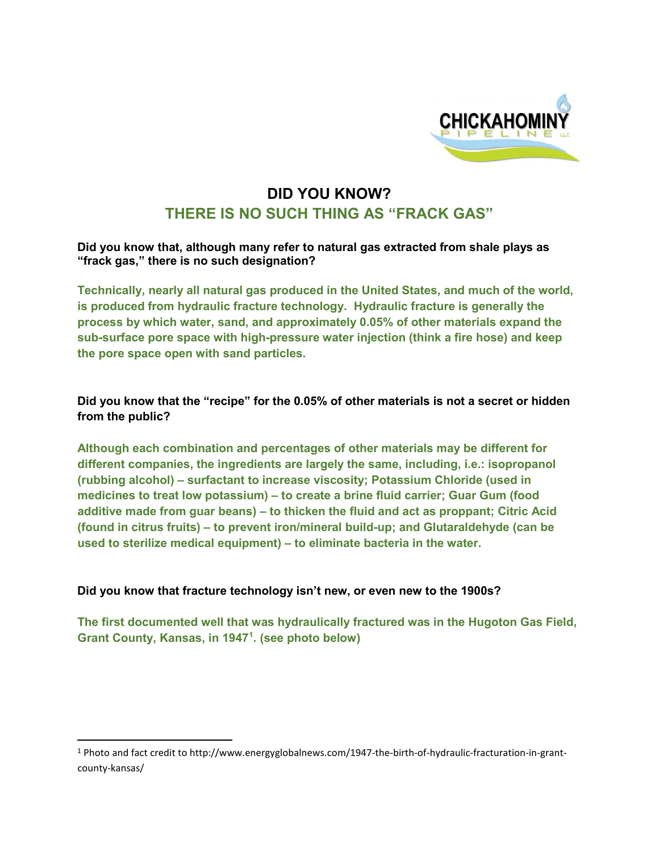

## **DID YOU KNOW? THERE IS NO SUCH THING AS "FRACK GAS"**

**Did you know that, although many refer to natural gas extracted from shale plays as "frack gas," there is no such designation?** 

**Technically, nearly all natural gas produced in the United States, and much of the world, is produced from hydraulic fracture technology. Hydraulic fracture is generally the process by which water, sand, and approximately 0.05% of other materials expand the sub-surface pore space with high-pressure water injection (think a fire hose) and keep the pore space open with sand particles.**

**Did you know that the "recipe" for the 0.05% of other materials is not a secret or hidden from the public?**

**Although each combination and percentages of other materials may be different for different companies, the ingredients are largely the same, including, i.e.: isopropanol (rubbing alcohol) – surfactant to increase viscosity; Potassium Chloride (used in medicines to treat low potassium) – to create a brine fluid carrier; Guar Gum (food additive made from guar beans) – to thicken the fluid and act as proppant; Citric Acid (found in citrus fruits) – to prevent iron/mineral build-up; and Glutaraldehyde (can be used to sterilize medical equipment) – to eliminate bacteria in the water.** 

## **Did you know that fracture technology isn't new, or even new to the 1900s?**

**The first documented well that was hydraulically fractured was in the Hugoton Gas Field, Grant County, Kansas, in 1947[1](#page-0-0) . (see photo below)**

<span id="page-0-0"></span> <sup>1</sup> Photo and fact credit to http://www.energyglobalnews.com/1947-the-birth-of-hydraulic-fracturation-in-grantcounty-kansas/